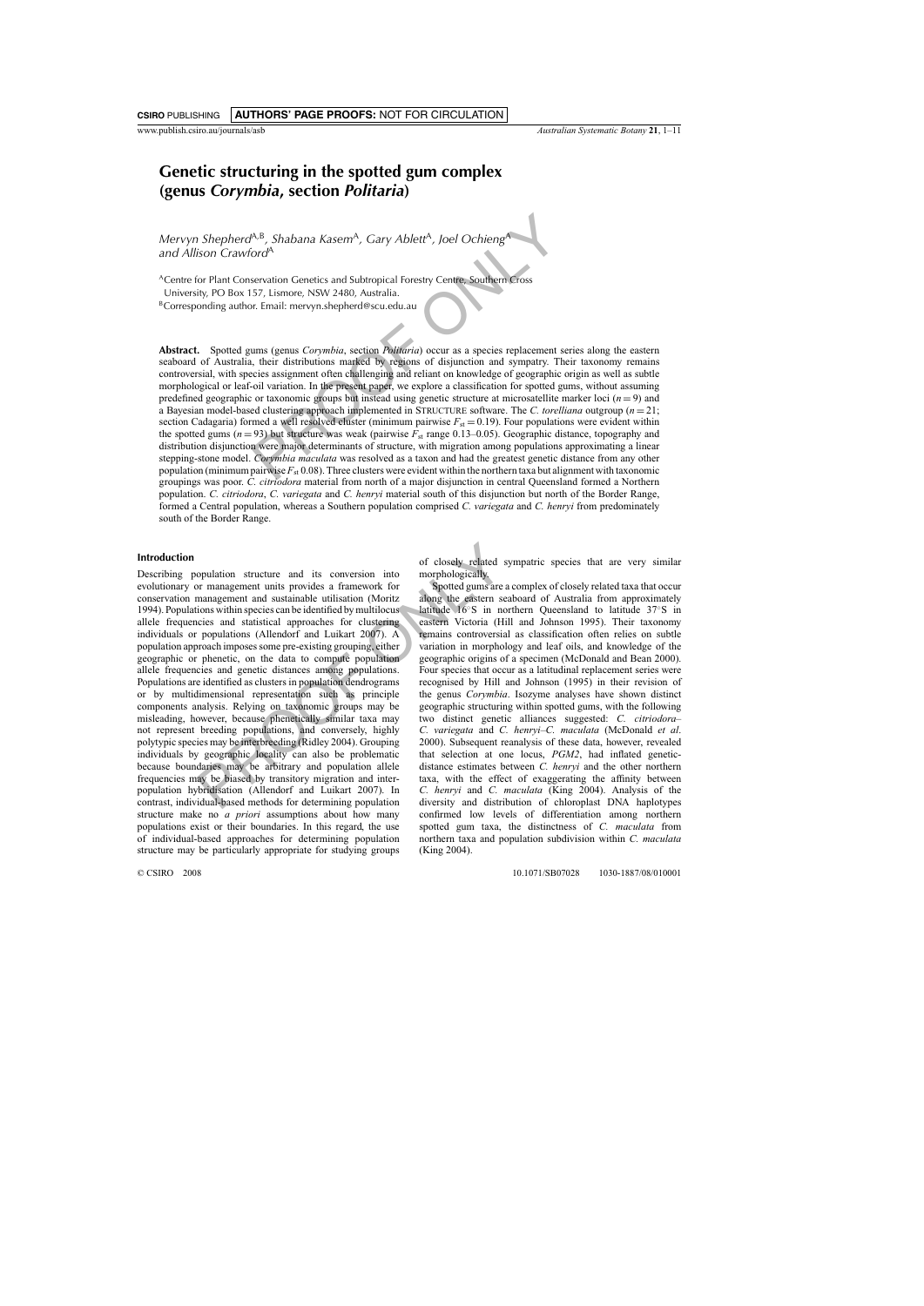# **Genetic structuring in the spotted gum complex (genus** *Corymbia***, section** *Politaria***)**

*Mervyn Shepherd*<sup>A,B</sup>, Shabana Kasem<sup>A</sup>, Gary Ablett<sup>A</sup>, Joel Ochieng<sup>*k*</sup> *and Allison Crawford*<sup>A</sup>

ACentre for Plant Conservation Genetics and Subtropical Forestry Centre, Southern Cross

University, PO Box 157, Lismore, NSW 2480, Australia.

BCorresponding author. Email: mervyn.shepherd@scu.edu.au

A,B, Shabana Kasem<sup>A</sup>, Gary Ablett<sup>A</sup>, Joel Ochieng<sup>A</sup><br>
ord<sup>A</sup><br>
servation Genetics and Subtropical Forestry Centre, Southern Cross<br>
57, Lismore, NSW 2480, Australia.<br>
r. Email: mervyn.shepherd@scu.edu.au<br>
ums (genus *Cory* **Abstract.** Spotted gums (genus *Corymbia*, section *Politaria*) occur as a species replacement series along the eastern seaboard of Australia, their distributions marked by regions of disjunction and sympatry. Their taxonomy remains controversial, with species assignment often challenging and reliant on knowledge of geographic origin as well as subtle morphological or leaf-oil variation. In the present paper, we explore a classification for spotted gums, without assuming predefined geographic or taxonomic groups but instead using genetic structure at microsatellite marker loci  $(n = 9)$  and a Bayesian model-based clustering approach implemented in STRUCTURE software. The *C. torelliana* outgroup  $(n = 21;$ section Cadagaria) formed a well resolved cluster (minimum pairwise  $F_{\text{st}} = 0.19$ ). Four populations were evident within the spotted gums ( $n = 93$ ) but structure was weak (pairwise  $F_{st}$  range 0.13–0.05). Geographic distance, topography and distribution disjunction were major determinants of structure, with migration among populations approximating a linear stepping-stone model. *Corymbia maculata* was resolved as a taxon and had the greatest genetic distance from any other population (minimum pairwise  $F_{st}$  0.08). Three clusters were evident within the northern taxa but alignment with taxonomic groupings was poor. *C. citriodora* material from north of a major disjunction in central Queensland formed a Northern population. *C. citriodora*, *C. variegata* and *C. henryi* material south of this disjunction but north of the Border Range, formed a Central population, whereas a Southern population comprised *C. variegata* and *C. henryi* from predominately south of the Border Range.

### **Introduction**

opulation structure and its conversion into morphologically,<br>or management units provides a framework for spotted gums are<br>nanagement and sustainable utilisation (Moritz along the eastern so<br>ions within species can be ide Describing population structure and its conversion into evolutionary or management units provides a framework for conservation management and sustainable utilisation (Moritz 1994). Populations within species can be identified by multilocus allele frequencies and statistical approaches for clustering individuals or populations (Allendorf and Luikart 2007). A population approach imposes some pre-existing grouping, either geographic or phenetic, on the data to compute population allele frequencies and genetic distances among populations. Populations are identified as clusters in population dendrograms or by multidimensional representation such as principle components analysis. Relying on taxonomic groups may be misleading, however, because phenetically similar taxa may not represent breeding populations, and conversely, highly polytypic species may be interbreeding (Ridley 2004). Grouping individuals by geographic locality can also be problematic because boundaries may be arbitrary and population allele frequencies may be biased by transitory migration and interpopulation hybridisation (Allendorf and Luikart 2007). In contrast, individual-based methods for determining population structure make no *a priori* assumptions about how many populations exist or their boundaries. In this regard, the use of individual-based approaches for determining population structure may be particularly appropriate for studying groups

of closely related sympatric species that are very similar morphologically.

Spotted gums are a complex of closely related taxa that occur along the eastern seaboard of Australia from approximately latitude 16◦S in northern Queensland to latitude 37◦S in eastern Victoria [\(Hill and Johnson 1995](#page-9-0)). Their taxonomy remains controversial as classification often relies on subtle variation in morphology and leaf oils, and knowledge of the geographic origins of a specimen [\(McDonald and Bean 2000\).](#page-9-0) Four species that occur as a latitudinal replacement series were recognised by [Hill and Johnson \(1995\)](#page-9-0) in their revision of the genus *Corymbia*. Isozyme analyses have shown distinct geographic structuring within spotted gums, with the following two distinct genetic alliances suggested: *C. citriodora*– *C. variegata* and *C. henryi*–*C. maculata* [\(McDonald](#page-9-0) *et al*. 2000). Subsequent reanalysis of these data, however, revealed that selection at one locus, *PGM2*, had inflated geneticdistance estimates between *C. henryi* and the other northern taxa, with the effect of exaggerating the affinity between *C. henryi* and *C. maculata* [\(King 2004\)](#page-9-0). Analysis of the diversity and distribution of chloroplast DNA haplotypes confirmed low levels of differentiation among northern spotted gum taxa, the distinctness of *C. maculata* from northern taxa and population subdivision within *C. maculata* [\(King 2004\).](#page-9-0)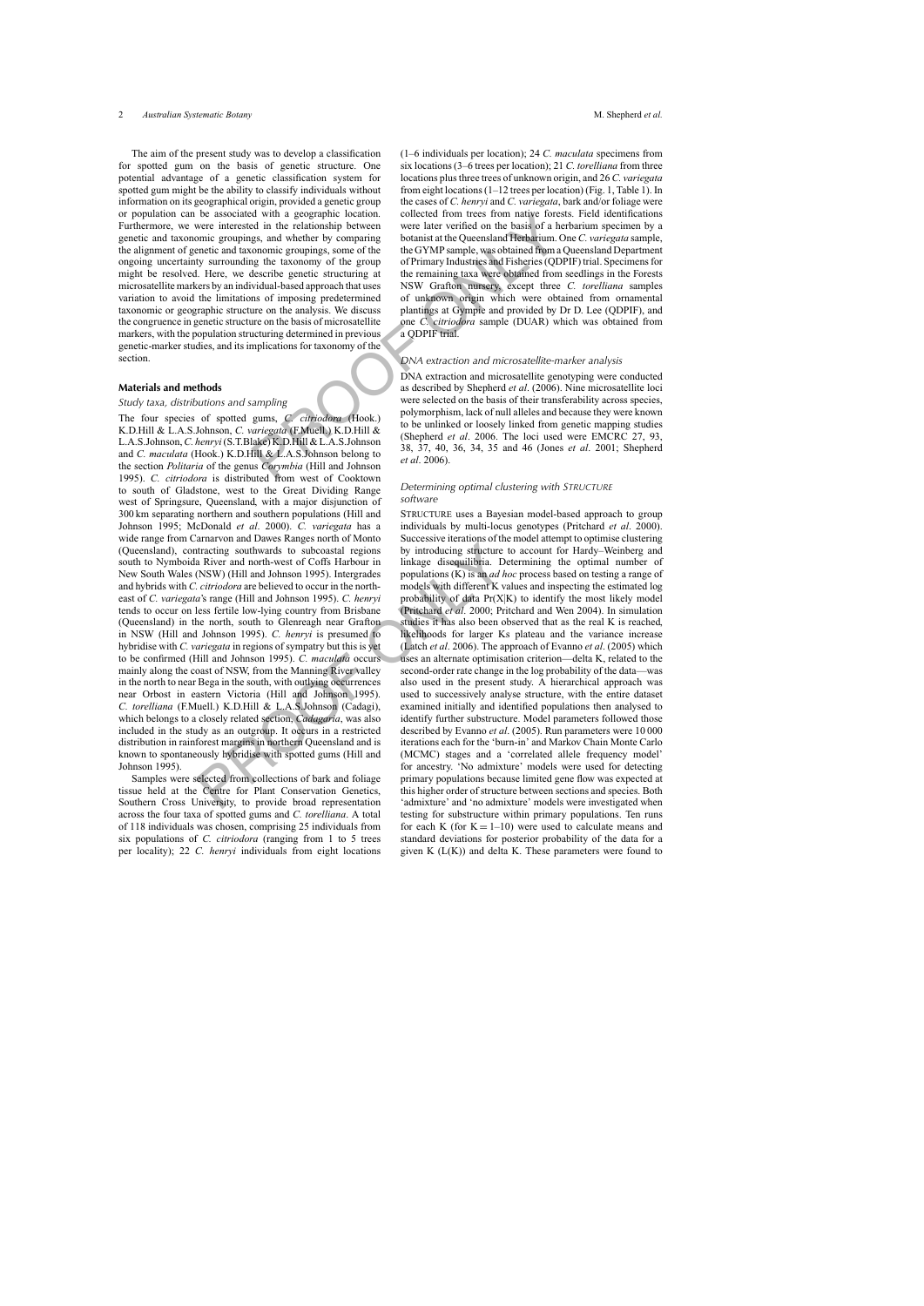The aim of the present study was to develop a classification for spotted gum on the basis of genetic structure. One potential advantage of a genetic classification system for spotted gum might be the ability to classify individuals without information on its geographical origin, provided a genetic group or population can be associated with a geographic location. Furthermore, we were interested in the relationship between genetic and taxonomic groupings, and whether by comparing the alignment of genetic and taxonomic groupings, some of the ongoing uncertainty surrounding the taxonomy of the group might be resolved. Here, we describe genetic structuring at microsatellite markers by an individual-based approach that uses variation to avoid the limitations of imposing predetermined taxonomic or geographic structure on the analysis. We discuss the congruence in genetic structure on the basis of microsatellite markers, with the population structuring determined in previous genetic-marker studies, and its implications for taxonomy of the section.

### **Materials and methods**

### *Study taxa, distributions and sampling*

tracting southwards to subcoastal regions<br>
River and north-west of Coffs Harbour in linkage disequilibria. D<br>
NSW) (Hill and Johnson 1995). Intergrades<br>
certicodora are believed to occur in the north-west of Coffs Harbour The four species of spotted gums, *C. citriodora* (Hook.) K.D.Hill & L.A.S.Johnson, *C. variegata* (F.Muell.) K.D.Hill & L.A.S.Johnson,*C. henryi*(S.T.Blake) K.D.Hill & L.A.S.Johnson and *C. maculata* (Hook.) K.D.Hill & L.A.S.Johnson belong to the section *Politaria* of the genus *Corymbia* (Hill and Johnson 1995). *C. citriodora* is distributed from west of Cooktown to south of Gladstone, west to the Great Dividing Range west of Springsure, Queensland, with a major disjunction of 300 km separating northern and southern populations (Hill and Johnson 1995; [McDonald](#page-9-0) *et al*. 2000). *C. variegata* has a wide range from Carnarvon and Dawes Ranges north of Monto (Queensland), contracting southwards to subcoastal regions south to Nymboida River and north-west of Coffs Harbour in New South Wales (NSW) (Hill and Johnson 1995). Intergrades and hybrids with *C. citriodora* are believed to occur in the northeast of *C. variegata*'s range (Hill and Johnson 1995). *C. henryi* tends to occur on less fertile low-lying country from Brisbane (Queensland) in the north, south to Glenreagh near Grafton in NSW ([Hill and Johnson 1995](#page-9-0)). *C. henryi* is presumed to hybridise with *C. variegata* in regions of sympatry but this is yet to be confirmed ([Hill and Johnson 1995\)](#page-9-0). *C. maculata* occurs mainly along the coast of NSW, from the Manning River valley in the north to near Bega in the south, with outlying occurrences near Orbost in eastern Victoria (Hill and Johnson 1995). *C. torelliana* (F.Muell.) K.D.Hill & L.A.S.Johnson (Cadagi), which belongs to a closely related section, *Cadagaria*, was also included in the study as an outgroup. It occurs in a restricted distribution in rainforest margins in northern Queensland and is known to spontaneously hybridise with spotted gums (Hill and Johnson 1995).

Samples were selected from collections of bark and foliage tissue held at the Centre for Plant Conservation Genetics, Southern Cross University, to provide broad representation across the four taxa of spotted gums and *C. torelliana*. A total of 118 individuals was chosen, comprising 25 individuals from six populations of *C. citriodora* (ranging from 1 to 5 trees per locality); 22 *C. henryi* individuals from eight locations

d with a geographic location.<br>
soluceted rom trees from hative foremulation and whether by comparing<br>
botanist at the Queensland Herbarium.<br>
solution the properties of a herbarium onomic groupings, some of the<br>
of Primary (1–6 individuals per location); 24 *C. maculata* specimens from six locations (3–6 trees per location); 21 *C. torelliana* from three locations plus three trees of unknown origin, and 26 *C. variegata* from eight locations (1–12 trees per location) ([Fig. 1,](#page-2-0) [Table 1\).](#page-3-0) In the cases of *C. henryi* and *C. variegata*, bark and/or foliage were collected from trees from native forests. Field identifications were later verified on the basis of a herbarium specimen by a botanist at the Queensland Herbarium. One *C. variegata* sample, the GYMP sample, was obtained from a Queensland Department of Primary Industries and Fisheries (QDPIF) trial. Specimens for the remaining taxa were obtained from seedlings in the Forests NSW Grafton nursery, except three *C. torelliana* samples of unknown origin which were obtained from ornamental plantings at Gympie and provided by Dr D. Lee (QDPIF), and one *C. citriodora* sample (DUAR) which was obtained from a QDPIF trial.

### *DNA extraction and microsatellite-marker analysis*

DNA extraction and microsatellite genotyping were conducted as described by Shepherd *et al*. (2006). Nine microsatellite loci were selected on the basis of their transferability across species, polymorphism, lack of null alleles and because they were known to be unlinked or loosely linked from genetic mapping studies (Shepherd *et al*. 2006. The loci used were EMCRC 27, 93, 38, 37, 40, 36, 34, 35 and 46 (Jones *et al*[. 2001](#page-9-0); [Shepherd](#page-10-0) *et al*. 2006).

### *Determining optimal clustering with STRUCTURE software*

[STRUCTUR](#page-9-0)E uses a Bayesian model-based approach to group individuals by multi-locus genotypes ([Pritchard](#page-10-0) *et al*. 2000). Successive iterations of the model attempt to optimise clustering by introducing structure to account for Hardy–Weinberg and linkage disequilibria. Determining the optimal number of populations (K) is an *ad hoc* process based on testing a range of models with different K values and inspecting the estimated log probability of data  $Pr(X|K)$  to identify the most likely model (Pritchard *et al*. 2000; [Pritchard and Wen 2004\).](#page-10-0) In simulation studies it has also been observed that as the real K is reached, likelihoods for larger Ks plateau and the variance increase (Latch *et al*. 2006). The approach of Evanno *et al*[. \(2005\) w](#page-9-0)hich uses an alternate optimisation criterion—delta K, related to the second-order rate change in the log probability of the data—was also used in the present study. A hierarchical approach was used to successively analyse structure, with the entire dataset examined initially and identified populations then analysed to identify further substructure. Model parameters followed those described by Evanno *et al*. (2005). Run parameters were 10 000 iterations each for the 'burn-in' and Markov Chain Monte Carlo (MCMC) stages and a 'correlated allele frequency model' for ancestry. 'No admixture' models were used for detecting primary populations because limited gene flow was expected at this higher order of structure between sections and species. Both 'admixture' and 'no admixture' models were investigated when testing for substructure within primary populations. Ten runs for each K (for  $K = 1-10$ ) were used to calculate means and standard deviations for posterior probability of the data for a given K  $(L(K))$  and delta K. These parameters were found to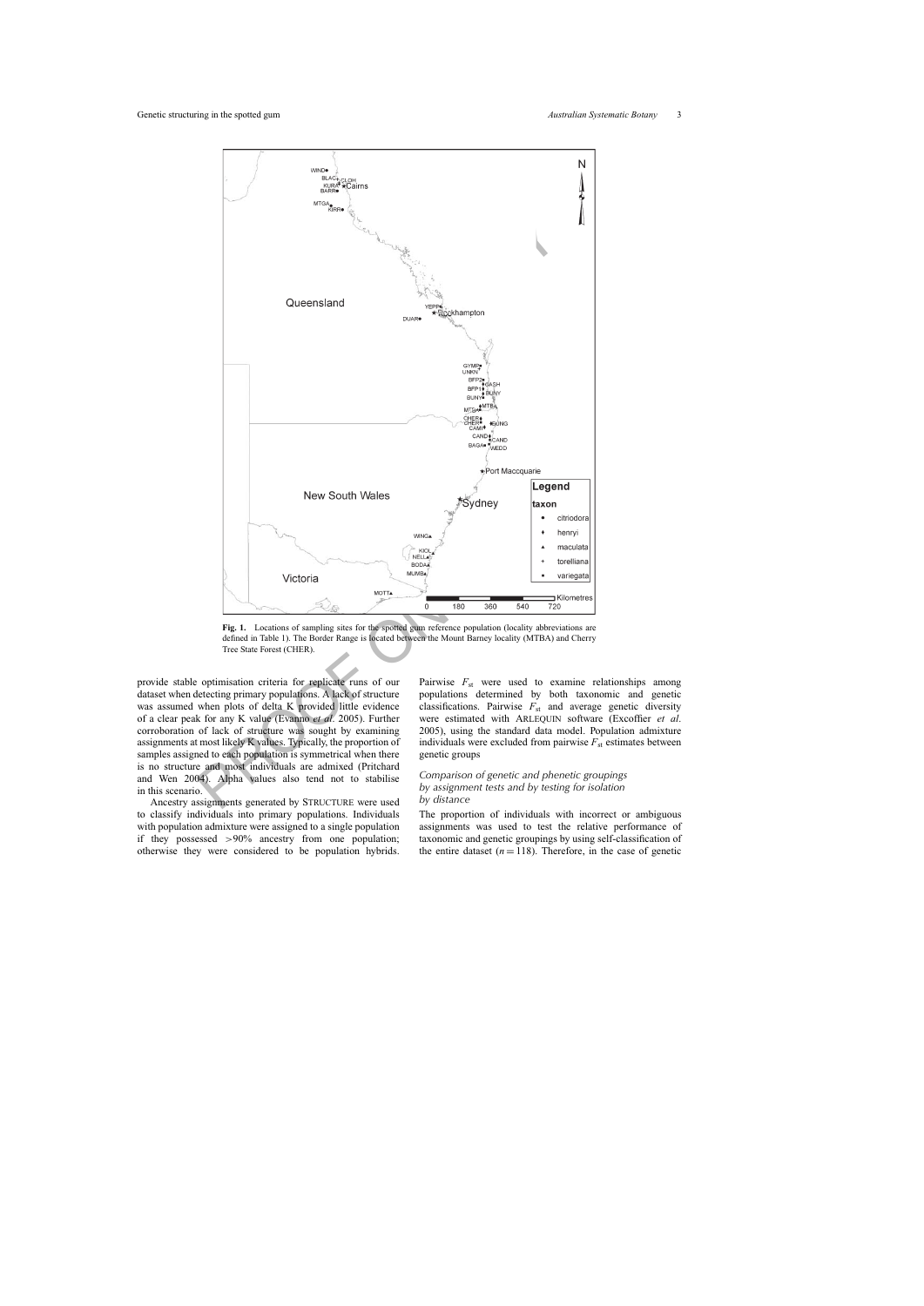<span id="page-2-0"></span>

Fig. 1. Locations of sampling sites for the spotted gum reference population (locality abbreviations are defined in Table 1). The Border Range is located between the Mount Barney locality (MTBA) and Cherry Tree State Forest (CHER).

Victoria<br>
Victoria<br>
Victoria<br>
Victoria<br>
Victoria<br>
Victoria<br>
Victoria<br>
Victoria<br>
Victoria<br>
Victoria<br>
Victoria<br>
Victoria<br>
Victoria<br>
Victoria<br>
Victoria<br>
Victoria<br>
Victoria<br>
Victoria<br>
Victoria<br>
Victoria<br>
Victoria<br>
Victoria<br>
P provide stable optimisation criteria for replicate runs of our dataset when detecting primary populations. A lack of structure was assumed when plots of delta K provided little evidence of a clear peak for any K value (Evanno *et al*. 2005). Further corroboration of lack of structure was sought by examining assignments at most likely K values. Typically, the proportion of samples assigned to each population is symmetrical when there is no structure and most individuals are admixed (Pritchard and Wen 2004). Alpha values also tend not to stabilise in this scenario.

Ancestry assignments generated by STRUCTURE were used to classify individuals into primary populations. Individuals with population admixture were assigned to a single population if they possessed >90% ancestry from one population; otherwise they were considered to be population hybrids.

Pairwise  $F_{st}$  were used to examine relationships among populations determined by both taxonomic and genetic classifications. Pairwise *F*st and average genetic diversity were estimated with ARLEQUIN software ([Excoffier](#page-9-0) *et al*. 2005), using the standard data model. Population admixture individuals were excluded from pairwise  $F_{st}$  estimates between genetic groups

### *Comparison of genetic and phenetic groupings by assignment tests and by testing for isolation by distance*

The proportion of individuals with incorrect or ambiguous assignments was used to test the relative performance of taxonomic and genetic groupings by using self-classification of the entire dataset  $(n = 118)$ . Therefore, in the case of genetic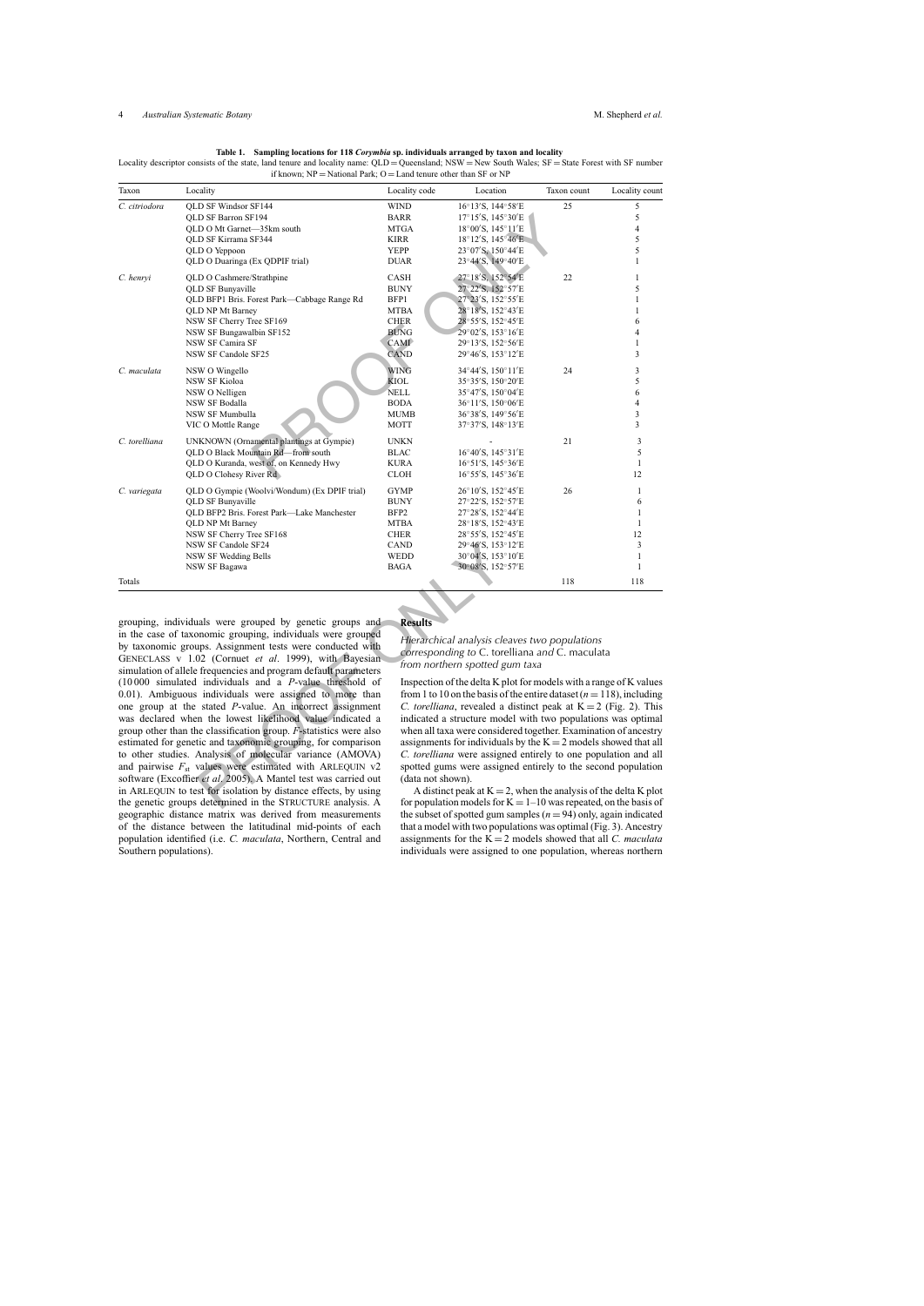#### **Table 1. Sampling locations for 118** *Corymbia* **sp. individuals arranged by taxon and locality**

<span id="page-3-0"></span>Locality descriptor consists of the state, land tenure and locality name: QLD = Queensland; NSW = New South Wales; SF = State Forest with SF number if known;  $NP = National Park$ ;  $O = Land$  tenure other than SF or NP

| Taxon         | Locality                                     | Locality code    | Location                                              | Taxon count | Locality count |
|---------------|----------------------------------------------|------------------|-------------------------------------------------------|-------------|----------------|
| C. citriodora | <b>OLD SF Windsor SF144</b>                  | <b>WIND</b>      | $16^{\circ}13'S$ , $144^{\circ}58'E$                  | 25          | 5              |
|               | OLD SF Barron SF194                          | <b>BARR</b>      | $17^{\circ}15^{\prime}$ S, $145^{\circ}30^{\prime}$ E |             | 5              |
|               | QLD O Mt Garnet-35km south                   | <b>MTGA</b>      | $18^{\circ}00'S$ , $145^{\circ}11'E$                  |             | 4              |
|               | QLD SF Kirrama SF344                         | <b>KIRR</b>      | 18°12'S, 145°46'E                                     |             | 5              |
|               | QLD O Yeppoon                                | <b>YEPP</b>      | $23^{\circ}07'S$ , $150^{\circ}44'E$                  |             | 5              |
|               | QLD O Duaringa (Ex QDPIF trial)              | <b>DUAR</b>      | 23°44'S, 149°40'E                                     |             |                |
| C. henryi     | QLD O Cashmere/Strathpine                    | CASH             | 27°18'S, 152°54'E                                     | 22          |                |
|               | <b>QLD SF Bunyaville</b>                     | <b>BUNY</b>      | 27°22′S, 152°57′E                                     |             | 5              |
|               | QLD BFP1 Bris. Forest Park-Cabbage Range Rd  | BFP1             | 27°23'S, 152°55'E                                     |             |                |
|               | <b>QLD NP Mt Barney</b>                      | <b>MTBA</b>      | 28°18'S, 152°43'E                                     |             |                |
|               | NSW SF Cherry Tree SF169                     | <b>CHER</b>      | 28°55'S, 152°45'E                                     |             |                |
|               | NSW SF Bungawalbin SF152                     | <b>BUNG</b>      | 29°02'S, 153°16'E                                     |             |                |
|               | NSW SF Camira SF                             | <b>CAMI</b>      | 29°13'S, 152°56'E                                     |             |                |
|               | NSW SF Candole SF25                          | <b>CAND</b>      | 29°46'S, 153°12'E                                     |             | 3              |
| C. maculata   | NSW O Wingello                               | <b>WING</b>      | 34°44'S, 150°11'E                                     | 24          | 3              |
|               | NSW SF Kioloa                                | <b>KIOL</b>      | 35°35'S, 150°20'E                                     |             | 5              |
|               | NSW O Nelligen                               | <b>NELL</b>      | 35°47'S, 150°04'E                                     |             | 6              |
|               | <b>NSW SF Bodalla</b>                        | <b>BODA</b>      | $36^{\circ}11^{\prime}$ S, $150^{\circ}06^{\prime}$ E |             |                |
|               | NSW SF Mumbulla                              | <b>MUMB</b>      | 36°38′S, 149°56′E                                     |             | 3              |
|               | VIC O Mottle Range                           | <b>MOTT</b>      | 37°37'S, 148°13'E                                     |             | 3              |
| C. torelliana | UNKNOWN (Ornamental plantings at Gympie)     | <b>UNKN</b>      |                                                       | 21          | 3              |
|               | QLD O Black Mountain Rd-from south           | <b>BLAC</b>      | $16^{\circ}40^{\prime}$ S, $145^{\circ}31^{\prime}$ E |             | 5              |
|               | QLD O Kuranda, west of, on Kennedy Hwy       | <b>KURA</b>      | $16^{\circ}51^{\prime}$ S, $145^{\circ}36^{\prime}$ E |             | 1              |
|               | QLD O Clohesy River Rd                       | <b>CLOH</b>      | $16^{\circ}55'$ S, $145^{\circ}36'E$                  |             | 12             |
| C. variegata  | QLD O Gympie (Woolvi/Wondum) (Ex DPIF trial) | <b>GYMP</b>      | 26°10'S, 152°45'E                                     | 26          | 1              |
|               | <b>QLD SF Bunyaville</b>                     | <b>BUNY</b>      | $27^{\circ}22'$ S, $152^{\circ}57'E$                  |             | 6              |
|               | OLD BFP2 Bris. Forest Park-Lake Manchester   | BFP <sub>2</sub> | 27°28'S, 152°44'E                                     |             | 1              |
|               | <b>QLD NP Mt Barney</b>                      | <b>MTBA</b>      | 28°18'S, 152°43'E                                     |             | 1              |
|               | NSW SF Cherry Tree SF168                     | <b>CHER</b>      | 28°55'S, 152°45'E                                     |             | 12             |
|               | NSW SF Candole SF24                          | <b>CAND</b>      | 29°46'S, 153°12'E                                     |             | 3              |
|               | NSW SF Wedding Bells                         | <b>WEDD</b>      | 30°04'S, 153°10'E                                     |             | 1              |
|               | <b>NSW SF Bagawa</b>                         | <b>BAGA</b>      | 30°08'S, 152°57'E                                     |             | 1              |
| Totals        |                                              |                  |                                                       | 118         | 118            |

W SF Candel SF24<br>
We SF Wedding Bells<br>
We SF Wedding Bells<br>
We SF Bagawa<br>
We SF Bagawa<br>
Mass were grouped by genetic groups and<br> [PR](#page-9-0)OM BAGA<br>
130°04'S, 153°<br>
150°08'S, 152°<br>
160°04'S, 153°<br>
160°04'S, 153°<br>
29°46'S, 153°<br>
29 grouping, individuals were grouped by genetic groups and in the case of taxonomic grouping, individuals were grouped by taxonomic groups. Assignment tests were conducted with GENECLASS v 1.02 (Cornuet *et al*. 1999), with Bayesian simulation of allele frequencies and program default parameters (10 000 simulated individuals and a *P*-value threshold of 0.01). Ambiguous individuals were assigned to more than one group at the stated *P*-value. An incorrect assignment was declared when the lowest likelihood value indicated a group other than the classification group. *F*-statistics were also estimated for genetic and taxonomic grouping, for comparison to other studies. Analysis of molecular variance (AMOVA) and pairwise  $F<sub>st</sub>$  values were estimated with ARLEQUIN v2 software (Excoffier *et al*. 2005). A Mantel test was carried out in ARLEQUIN to test for isolation by distance effects, by using the genetic groups determined in the STRUCTURE analysis. A geographic distance matrix was derived from measurements of the distance between the latitudinal mid-points of each population identified (i.e. *C. maculata*, Northern, Central and Southern populations).

## **Results**

# *Hierarchical analysis cleaves two populations corresponding to* C. torelliana *and* C. maculata *from northern spotted gum taxa*

Inspection of the delta K plot for models with a range of K values from 1 to 10 on the basis of the entire dataset  $(n = 118)$ , including *C. torelliana*, revealed a distinct peak at  $K = 2$  [\(Fig. 2\).](#page-4-0) This indicated a structure model with two populations was optimal when all taxa were considered together. Examination of ancestry assignments for individuals by the  $K = 2$  models showed that all *C. torelliana* were assigned entirely to one population and all spotted gums were assigned entirely to the second population (data not shown).

A distinct peak at  $K = 2$ , when the analysis of the delta K plot for population models for  $K = 1-10$  was repeated, on the basis of the subset of spotted gum samples  $(n = 94)$  only, again indicated that a model with two populations was optimal ([Fig. 3\).](#page-4-0) Ancestry assignments for the  $K = 2$  models showed that all *C. maculata* individuals were assigned to one population, whereas northern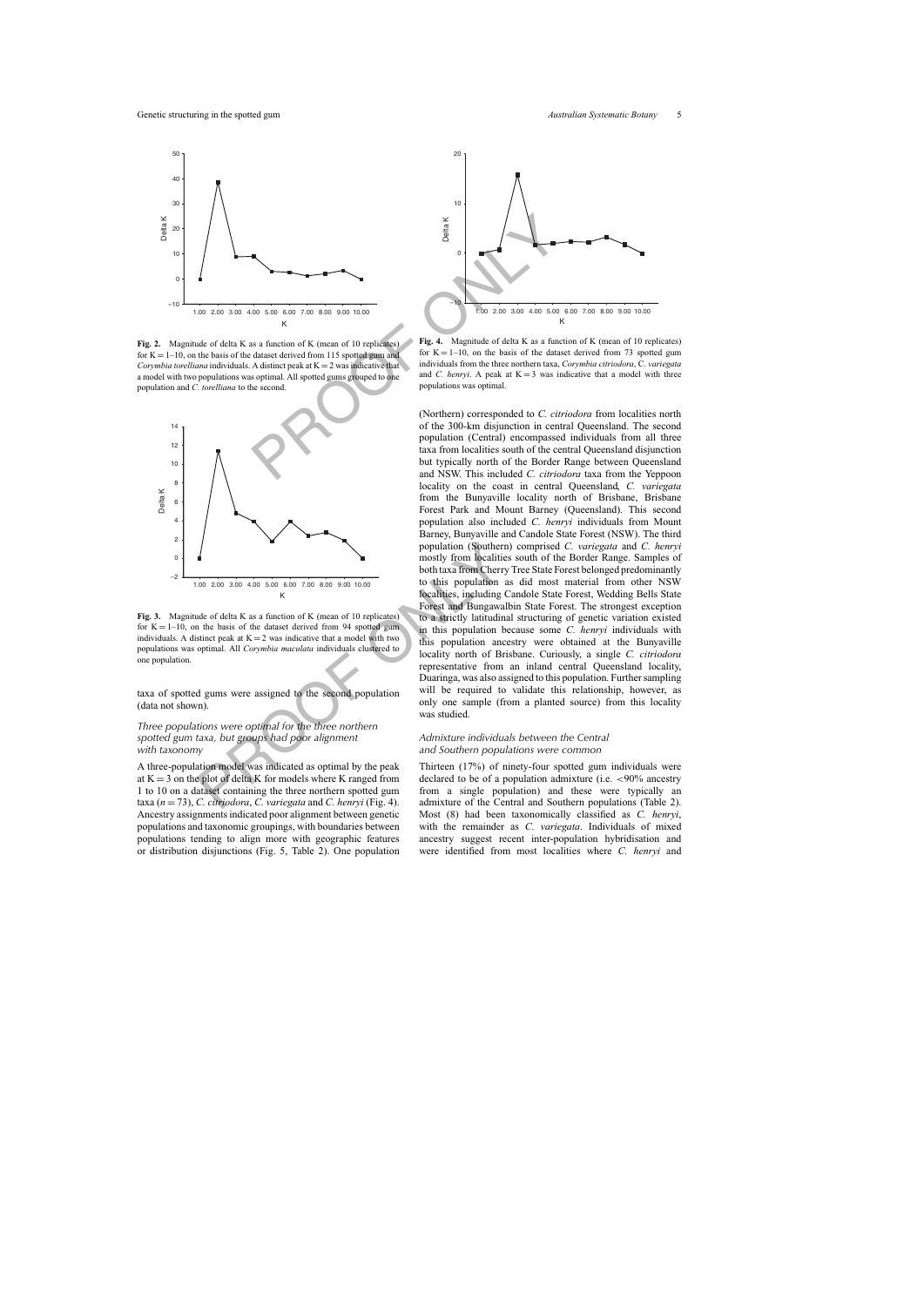<span id="page-4-0"></span>

**Fig. 2.** Magnitude of delta K as a function of K (mean of 10 replicates) for  $K = 1-10$ , on the basis of the dataset derived from 115 spotted gum and *Corymbia torelliana* individuals. A distinct peak at  $K = 2$  was indicative that a model with two populations was optimal. All spotted gums grouped to one population and *C. torelliana* to the second.



**Fig. 3.** Magnitude of delta K as a function of K (mean of 10 replicates) for  $K = 1-10$ , on the basis of the dataset derived from 94 spotted gum individuals. A distinct peak at  $K = 2$  was indicative that a model with two populations was optimal. All *Corymbia maculata* individuals clustered to one population.

taxa of spotted gums were assigned to the second population (data not shown).

*Three populations were optimal for the three northern spotted gum taxa, but groups had poor alignment with taxonomy*

A three-population model was indicated as optimal by the peak at  $K = 3$  on the plot of delta K for models where K ranged from 1 to 10 on a dataset containing the three northern spotted gum taxa (*n* = 73), *C. citriodora*, *C. variegata* and *C. henryi* (Fig. 4). Ancestry assignments indicated poor alignment between genetic populations and taxonomic groupings, with boundaries between populations tending to align more with geographic features or distribution disjunctions ([Fig. 5,](#page-5-0) [Table 2\).](#page-6-0) One population



**Fig. 4.** Magnitude of delta K as a function of K (mean of 10 replicates) for  $K = 1-10$ , on the basis of the dataset derived from 73 spotted gum individuals from the three northern taxa, *Corymbia citriodora*, C. *variegata* and *C. henryi*. A peak at  $K = 3$  was indicative that a model with three populations was optimal.

population (Souther<br>
nostly from localitie<br>
nostly from localities<br>
on 2.00 3.00 4.00 5.00 6.00 7.00 8.00 9.00 10.00<br>
10 to this population<br>
10 to this population<br>
10 to this population<br>
10 to a strictly latituding<br>
Forest (Northern) corresponded to *C. citriodora* from localities north of the 300-km disjunction in central Queensland. The second population (Central) encompassed individuals from all three taxa from localities south of the central Queensland disjunction but typically north of the Border Range between Queensland and NSW. This included *C. citriodora* taxa from the Yeppoon locality on the coast in central Queensland, *C. variegata* from the Bunyaville locality north of Brisbane, Brisbane Forest Park and Mount Barney (Queensland). This second population also included *C. henryi* individuals from Mount Barney, Bunyaville and Candole State Forest (NSW). The third population (Southern) comprised *C. variegata* and *C. henryi* mostly from localities south of the Border Range. Samples of both taxa from Cherry Tree State Forest belonged predominantly to this population as did most material from other NSW localities, including Candole State Forest, Wedding Bells State Forest and Bungawalbin State Forest. The strongest exception to a strictly latitudinal structuring of genetic variation existed in this population because some *C. henryi* individuals with this population ancestry were obtained at the Bunyaville locality north of Brisbane. Curiously, a single *C. citriodora* representative from an inland central Queensland locality, Duaringa, was also assigned to this population. Further sampling will be required to validate this relationship, however, as only one sample (from a planted source) from this locality was studied.

### *Admixture individuals between the Central and Southern populations were common*

Thirteen (17%) of ninety-four spotted gum individuals were declared to be of a population admixture (i.e. <90% ancestry from a single population) and these were typically an admixture of the Central and Southern populations [\(Table 2\).](#page-6-0) Most (8) had been taxonomically classified as *C. henryi*, with the remainder as *C. variegata*. Individuals of mixed ancestry suggest recent inter-population hybridisation and were identified from most localities where *C. henryi* and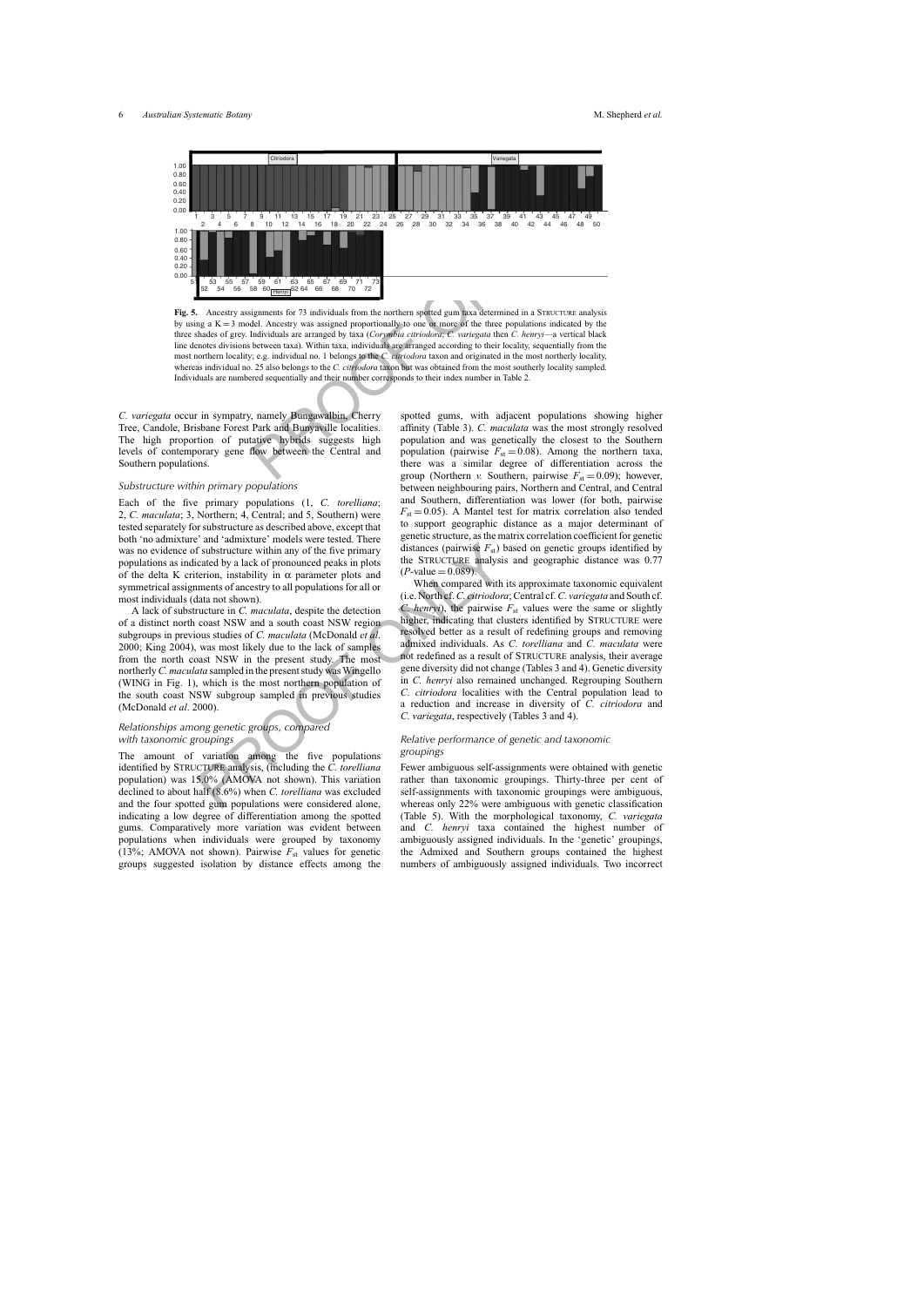<span id="page-5-0"></span>

**Fig. 5.** Ancestry assignments for 73 individuals from the northern spotted gum taxa determined in a STRUCTURE analysis by using a  $K = 3$  model. Ancestry was assigned proportionally to one or more of the three populations indicated by the three shades of grey. Individuals are arranged by taxa (*Corymbia citriodora*; *C. variegata* then *C. henryi*—a vertical black line denotes divisions between taxa). Within taxa, individuals are arranged according to their locality, sequentially from the most northern locality; e.g. individual no. 1 belongs to the *C. citriodora* taxon and originated in the most northerly locality, whereas individual no. 25 also belongs to the *C. citriodora* taxon but was obtained from the most southerly locality sampled. Individuals are numbered sequentially and their number corresponds to their index number in Table 2.

*C. variegata* occur in sympatry, namely Bungawalbin, Cherry Tree, Candole, Brisbane Forest Park and Bunyaville localities. The high proportion of putative hybrids suggests high levels of contemporary gene flow between the Central and Southern populations.

#### *Substructure within primary populations*

Each of the five primary populations (1, *C. torelliana*; 2, *C. maculata*; 3, Northern; 4, Central; and 5, Southern) were tested separately for substructure as described above, except that both 'no admixture' and 'admixture' models were tested. There was no evidence of substructure within any of the five primary populations as indicated by a lack of pronounced peaks in plots of the delta K criterion, instability in  $\alpha$  parameter plots and symmetrical assignments of ancestry to all populations for all or most individuals (data not shown).

Function in and a south and the state of the primary<br>
Fault structure within any of the fore primary<br>
distances (pairwise  $F_{\rm st}$ )<br>
cated by a lack of pronounced peaks in plots<br>
late and shown).<br>
when compared with<br>
unda A lack of substructure in *C. maculata*, despite the detection of a distinct north coast NSW and a south coast NSW region subgroups in previous studies of *C. maculata* (McDonald *et al*. 2000; [King 2004\),](#page-9-0) was most likely due to the lack of samples from the north coast NSW in the present study. The most northerly *C. maculata* sampled in the present study was Wingello (WING in [Fig. 1\),](#page-2-0) which is the most northern population of the south coast NSW subgroup sampled in previous studies [\(McDonald](#page-9-0) *et al*. 2000).

### *Relationships among genetic groups, compared with taxonomic groupings*

The amount of variation among the five populations identified by STRUCTURE analysis, (including the *C. torelliana* population) was 15.0% (AMOVA not shown). This variation declined to about half (8.6%) when *C. torelliana* was excluded and the four spotted gum populations were considered alone, indicating a low degree of differentiation among the spotted gums. Comparatively more variation was evident between populations when individuals were grouped by taxonomy (13%; AMOVA not shown). Pairwise  $F_{st}$  values for genetic groups suggested isolation by distance effects among the

spotted gums, with adjacent populations showing higher affinity (Table 3). *C. maculata* was the most strongly resolved population and was genetically the closest to the Southern population (pairwise  $F_{\text{st}} = 0.08$ ). Among the northern taxa, there was a similar degree of differentiation across the group (Northern *v.* Southern, pairwise  $F_{st} = 0.09$ ); however, between neighbouring pairs, Northern and Central, and Central and Southern, differentiation was lower (for both, pairwise  $F_{st} = 0.05$ ). A Mantel test for matrix correlation also tended to support geographic distance as a major determinant of genetic structure, as the matrix correlation coefficient for genetic distances (pairwise  $F_{st}$ ) based on genetic groups identified by the STRUCTURE analysis and geographic distance was 0.77  $(P$ -value = 0.089).

When compared with its approximate taxonomic equivalent (i.e. North cf.*C. citriodora*; Central cf.*C. variegata* and South cf. *C. henryi*), the pairwise  $F_{st}$  values were the same or slightly higher, indicating that clusters identified by STRUCTURE were resolved better as a result of redefining groups and removing admixed individuals. As *C. torelliana* and *C. maculata* were not redefined as a result of STRUCTURE analysis, their average gene diversity did not change [\(Tables 3 a](#page-6-0)nd [4\).](#page-6-0) Genetic diversity in *C. henryi* also remained unchanged. Regrouping Southern *C. citriodora* localities with the Central population lead to a reduction and increase in diversity of *C. citriodora* and *C. variegata*, respectively [\(Tables 3 a](#page-6-0)nd [4\).](#page-6-0)

### *Relative performance of genetic and taxonomic groupings*

Fewer ambiguous self-assignments were obtained with genetic rather than taxonomic groupings. Thirty-three per cent of self-assignments with taxonomic groupings were ambiguous, whereas only 22% were ambiguous with genetic classification [\(Table 5\)](#page-7-0). With the morphological taxonomy, *C. variegata* and *C. henryi* taxa contained the highest number of ambiguously assigned individuals. In the 'genetic' groupings, the Admixed and Southern groups contained the highest numbers of ambiguously assigned individuals. Two incorrect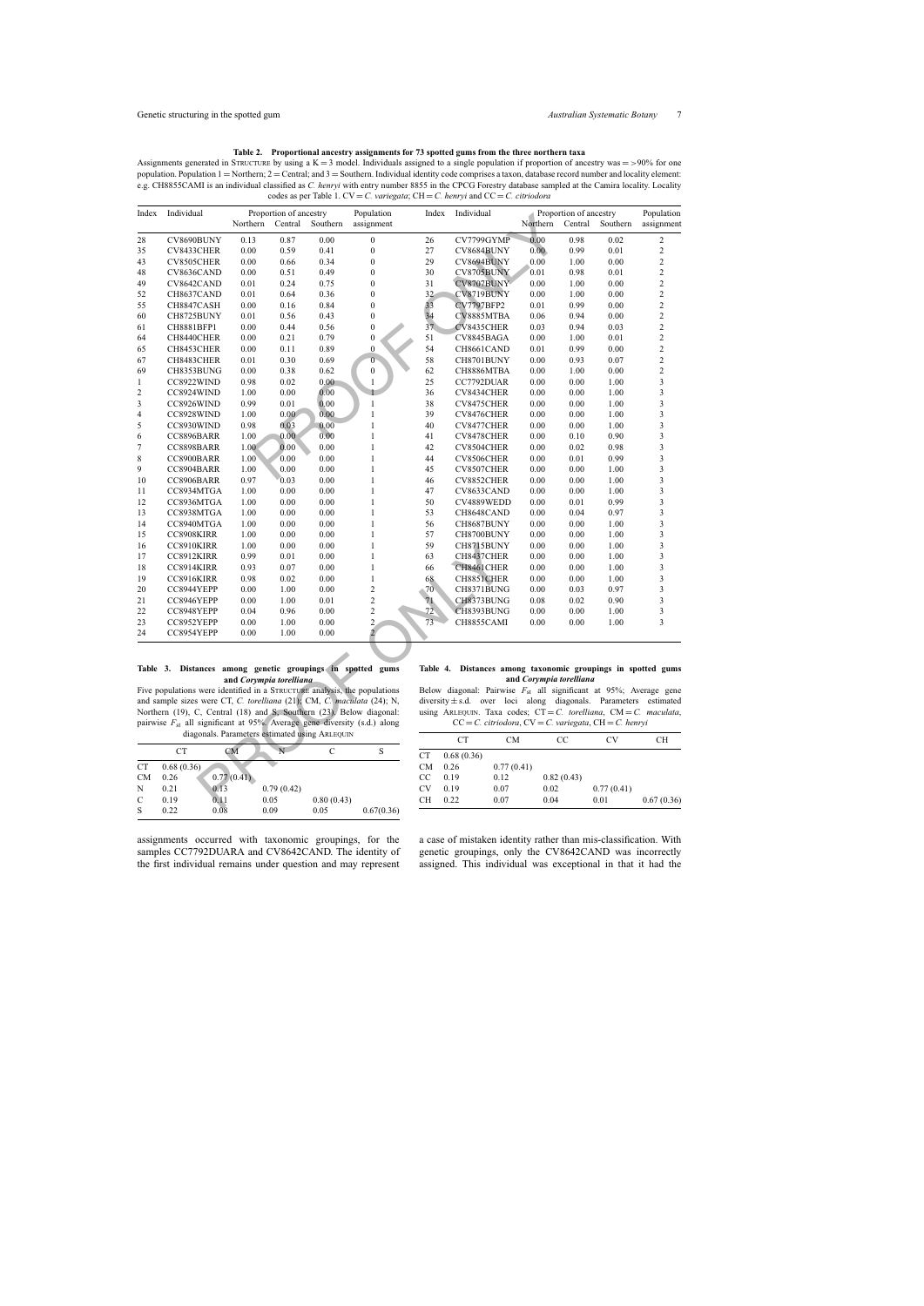#### **Table 2. Proportional ancestry assignments for 73 spotted gums from the three northern taxa**

<span id="page-6-0"></span>Assignments generated in STRUCTURE by using a  $K = 3$  model. Individuals assigned to a single population if proportion of ancestry was = >90% for one population. Population 1 = Northern; 2 = Central; and 3 = Southern. Individual identity code comprises a taxon, database record number and locality element: e.g. CH8855CAMI is an individual classified as *C. henryi* with entry number 8855 in the CPCG Forestry database sampled at the Camira locality. Locality codes as per [Table 1. C](#page-3-0)V = *C. variegata*; CH = *C. henryi* and CC = *C. citriodora*

| Index        | Individual                                                                    |                         | Proportion of ancestry |             | Population       | Index              | Individual                                                              |                         | Proportion of ancestry |               | Population              |
|--------------|-------------------------------------------------------------------------------|-------------------------|------------------------|-------------|------------------|--------------------|-------------------------------------------------------------------------|-------------------------|------------------------|---------------|-------------------------|
|              |                                                                               | Northern                | Central                | Southern    | assignment       |                    |                                                                         | Northern                | Central                | Southern      | assignment              |
| 28           | CV8690BUNY                                                                    | 0.13                    | 0.87                   | $0.00\,$    | $\boldsymbol{0}$ | 26                 | CV7799GYMP                                                              | 0.00                    | 0.98                   | 0.02          | 2                       |
| 35           | CV8433CHER                                                                    | 0.00                    | 0.59                   | 0.41        | $\boldsymbol{0}$ | 27                 | CV8684BUNY                                                              | 0.00                    | 0.99                   | 0.01          | $\overline{c}$          |
| 43           | CV8505CHER                                                                    | 0.00                    | 0.66                   | 0.34        | $\mathbf{0}$     | 29                 | CV8694BUNY                                                              | 0.00                    | 1.00                   | 0.00          | $\boldsymbol{2}$        |
| 48           | CV8636CAND                                                                    | 0.00                    | 0.51                   | 0.49        | $\boldsymbol{0}$ | 30                 | CV8705BUNY                                                              | 0.01                    | 0.98                   | 0.01          | $\overline{c}$          |
| 49           | CV8642CAND                                                                    | 0.01                    | 0.24                   | 0.75        | $\boldsymbol{0}$ | 31                 | CV8707BUNY                                                              | 0.00                    | 1.00                   | 0.00          | $\overline{c}$          |
| 52           | CH8637CAND                                                                    | 0.01                    | 0.64                   | 0.36        | $\mathbf{0}$     | 32                 | CV8719BUNY                                                              | 0.00                    | 1.00                   | 0.00          | $\overline{\mathbf{c}}$ |
| 55           | CH8847CASH                                                                    | 0.00                    | 0.16                   | 0.84        | $\boldsymbol{0}$ | 33                 | <b>CV7797BFP2</b>                                                       | 0.01                    | 0.99                   | 0.00          | $\overline{c}$          |
| 60           | CH8725BUNY                                                                    | 0.01                    | 0.56                   | 0.43        | $\boldsymbol{0}$ | 34                 | CV8885MTBA                                                              | 0.06                    | 0.94                   | 0.00          | $\overline{c}$          |
| 61           | CH8881BFP1                                                                    | 0.00                    | 0.44                   | 0.56        | $\mathbf{0}$     | 37                 | CV8435CHER                                                              | 0.03                    | 0.94                   | 0.03          | $\overline{c}$          |
| 64           | CH8440CHER                                                                    | 0.00                    | 0.21                   | 0.79        | $\boldsymbol{0}$ | 51                 | CV8845BAGA                                                              | 0.00                    | 1.00                   | 0.01          | $\overline{c}$          |
| 65           | CH8453CHER                                                                    | 0.00                    | 0.11                   | 0.89        | $\boldsymbol{0}$ | 54                 | CH8661CAND                                                              | 0.01                    | 0.99                   | 0.00          | $\overline{c}$          |
| 67           | CH8483CHER                                                                    | 0.01                    | 0.30                   | 0.69        | $\overline{0}$   | 58                 | CH8701BUNY                                                              | 0.00                    | 0.93                   | 0.07          | $\overline{c}$          |
| 69           | CH8353BUNG                                                                    | 0.00                    | 0.38                   | 0.62        | $\boldsymbol{0}$ | 62                 | CH8886MTBA                                                              | 0.00                    | 1.00                   | 0.00          | $\overline{c}$          |
| $\mathbf{1}$ | CC8922WIND                                                                    | 0.98                    | 0.02                   | 0.00        | $\mathbf{1}$     | 25                 | CC7792DUAR                                                              | 0.00                    | 0.00                   | 1.00          | 3                       |
|              | CC8924WIND                                                                    | 1.00                    | 0.00                   | 0.00        |                  | 36                 | CV8434CHER                                                              | 0.00                    | 0.00                   | 1.00          | 3                       |
| 2            |                                                                               |                         |                        |             |                  |                    |                                                                         |                         |                        |               | 3                       |
| 3            | CC8926WIND                                                                    | 0.99                    | $0.01\,$               | 0.00        | $\mathbf{1}$     | 38                 | CV8475CHER                                                              | 0.00                    | 0.00                   | 1.00          |                         |
| 4            | CC8928WIND                                                                    | 1.00                    | 0.00                   | 0.00        | $\mathbf{1}$     | 39                 | CV8476CHER                                                              | 0.00                    | 0.00                   | 1.00          | 3                       |
| 5            | CC8930WIND                                                                    | 0.98                    | 0.03                   | 0.00        | 1                | 40                 | CV8477CHER                                                              | 0.00                    | 0.00                   | 1.00          | 3                       |
| 6            | CC8896BARR                                                                    | 1.00                    | 0.00                   | 0.00        | $\mathbf{1}$     | 41                 | CV8478CHER                                                              | 0.00                    | 0.10                   | 0.90          | 3                       |
| 7            | CC8898BARR                                                                    | 1.00                    | 0.00                   | 0.00        | $\mathbf{1}$     | 42                 | CV8504CHER                                                              | 0.00                    | 0.02                   | 0.98          | 3                       |
| 8            | CC8900BARR                                                                    | 1.00                    | 0.00                   | 0.00        | 1                | 44                 | CV8506CHER                                                              | 0.00                    | 0.01                   | 0.99          | 3                       |
| 9            | CC8904BARR                                                                    | 1.00                    | 0.00                   | 0.00        | $\mathbf{1}$     | 45                 | CV8507CHER                                                              | 0.00                    | 0.00                   | 1.00          | 3                       |
| 10           | CC8906BARR                                                                    | 0.97                    | 0.03                   | 0.00        | $\mathbf{1}$     | 46                 | CV8852CHER                                                              | 0.00                    | 0.00                   | 1.00          | 3                       |
| 11           | CC8934MTGA                                                                    | 1.00                    | 0.00                   | 0.00        | $\mathbf{1}$     | 47                 | CV8633CAND                                                              | 0.00                    | 0.00                   | 1.00          | 3                       |
| 12           | CC8936MTGA                                                                    | 1.00                    | 0.00                   | 0.00        | $\mathbf{1}$     | 50                 | CV4889WEDD                                                              | 0.00                    | 0.01                   | 0.99          | 3                       |
| 13           | CC8938MTGA                                                                    | 1.00                    | 0.00                   | 0.00        | $\mathbf{1}$     | 53                 | CH8648CAND                                                              | 0.00                    | 0.04                   | 0.97          | 3                       |
| 14           | CC8940MTGA                                                                    | 1.00                    | 0.00                   | 0.00        | 1                | 56                 | CH8687BUNY                                                              | 0.00                    | 0.00                   | 1.00          | 3                       |
| 15           | CC8908KIRR                                                                    | 1.00                    | 0.00                   | 0.00        | $\mathbf{1}$     | 57                 | CH8700BUNY                                                              | 0.00                    | 0.00                   | 1.00          | 3                       |
| 16           | CC8910KIRR                                                                    | 1.00                    | 0.00                   | 0.00        | $\mathbf{1}$     | 59                 | CH8715BUNY                                                              | 0.00                    | 0.00                   | 1.00          | 3                       |
| 17           | CC8912KIRR                                                                    | 0.99                    | 0.01                   | 0.00        | $\mathbf{1}$     | 63                 | CH8437CHER                                                              | 0.00                    | 0.00                   | 1.00          | 3                       |
| 18           | CC8914KIRR                                                                    | 0.93                    | 0.07                   | 0.00        | $\mathbf{1}$     | 66                 | CH8461CHER                                                              | 0.00                    | 0.00                   | 1.00          | 3                       |
| 19           | CC8916KIRR                                                                    | 0.98                    | 0.02                   | 0.00        | $\mathbf{1}$     | 68                 | CH8851CHER                                                              | 0.00                    | 0.00                   | 1.00          | 3                       |
| 20           | CC8944YEPP                                                                    | 0.00                    | 1.00                   | 0.00        | $\overline{c}$   | 70<                | CH8371BUNG                                                              | 0.00                    | 0.03                   | 0.97          | 3                       |
| 21           | CC8946YEPP                                                                    | 0.00                    | 1.00                   | 0.01        | $\sqrt{2}$       | 71                 | CH8373BUNG                                                              | 0.08                    | 0.02                   | 0.90          | 3                       |
| 22           | CC8948YEPP                                                                    | 0.04                    | 0.96                   | 0.00        | $\sqrt{2}$       | 72 <sub>2</sub>    | CH8393BUNG                                                              | 0.00                    | 0.00                   | 1.00          | 3                       |
| 23           | CC8952YEPP                                                                    | 0.00                    | 1.00                   | 0.00        | $\overline{c}$   | 73                 | CH8855CAMI                                                              | 0.00                    | 0.00                   | 1.00          | 3                       |
| 24           | CC8954YEPP                                                                    | 0.00                    | 1.00                   | 0.00        | $\overline{2}$   |                    |                                                                         |                         |                        |               |                         |
|              |                                                                               |                         |                        |             |                  |                    |                                                                         |                         |                        |               |                         |
|              | Table 3. Distances among genetic groupings in spotted gums                    |                         |                        |             |                  |                    | Table 4. Distances among taxonomic groupings in spotted gums            |                         |                        |               |                         |
|              |                                                                               | and Corympia torelliana |                        |             |                  |                    |                                                                         | and Corympia torelliana |                        |               |                         |
|              | Five populations were identified in a STRUCTURE analysis, the populations     |                         |                        |             |                  |                    | Below diagonal: Pairwise $F_{st}$ all significant at 95%; Average gene  |                         |                        |               |                         |
|              | and sample sizes were CT, C. torelliana $(21)$ ; CM, C. maculata $(24)$ ; N,  |                         |                        |             |                  |                    | $diversity \pm s.d.$ over loci along diagonals. Parameters estimated    |                         |                        |               |                         |
|              | Northern (19), C, Central (18) and S, Southern (23). Below diagonal:          |                         |                        |             |                  |                    | using ARLEQUIN. Taxa codes; $CT = C$ . torelliana, $CM = C$ . maculata, |                         |                        |               |                         |
|              | pairwise $F_{st}$ all significant at 95%. Average gene diversity (s.d.) along |                         |                        |             |                  |                    | $CC = C$ . citriodora, $CV = C$ . variegata, $CH = C$ . henryi          |                         |                        |               |                         |
|              | diagonals. Parameters estimated using ARLEQUIN                                |                         |                        |             |                  |                    |                                                                         |                         |                        |               |                         |
|              | <b>CT</b>                                                                     | CM                      | $\mathbf N$            | $\mathbf C$ | S                |                    | CT                                                                      | CM                      | $\rm CC$               | $\mathrm{CV}$ | CH                      |
|              |                                                                               |                         |                        |             |                  | ${\cal C}{\cal T}$ | 0.68(0.36)                                                              |                         |                        |               |                         |
| CT           | 0.68(0.36)                                                                    |                         |                        |             |                  | <b>CM</b>          | 0.26                                                                    | 0.77(0.41)              |                        |               |                         |
| <b>CM</b>    | 0.26                                                                          | 0.77(0.41)              |                        |             |                  | CC                 | 0.19<br>0.12                                                            |                         | 0.82(0.43)             |               |                         |
| N            | 0.21<br>0.13                                                                  |                         | 0.79(0.42)             |             |                  | $\mathrm{CV}$      | 0.19<br>0.07                                                            | 0.02                    |                        | 0.77(0.41)    |                         |
| C            | 0.19<br>0.11                                                                  |                         | 0.05                   | 0.80(0.43)  |                  | CH                 | 0.22<br>$0.07\,$                                                        | 0.04                    |                        | 0.01          | 0.67(0.36)              |

#### **Table 3. Distances among genetic groupings in spotted gums and** *Corympia torelliana*

|           | <b>CT</b>  | CМ         | NI         | C          | S          |
|-----------|------------|------------|------------|------------|------------|
| <b>CT</b> | 0.68(0.36) |            |            |            |            |
| <b>CM</b> | 0.26       | 0.77(0.41) |            |            |            |
| N         | 0.21       | 0.13       | 0.79(0.42) |            |            |
| C         | 0.19       | 0.11       | 0.05       | 0.80(0.43) |            |
| S         | 0.22       | 0.08       | 0.09       | 0.05       | 0.67(0.36) |

assignments occurred with taxonomic groupings, for the samples CC7792DUARA and CV8642CAND. The identity of the first individual remains under question and may represent

#### **Table 4. Distances among taxonomic groupings in spotted gums and** *Corympia torelliana*

|    | CT.        | CМ         | CC         | CV         | CН         |
|----|------------|------------|------------|------------|------------|
| CT | 0.68(0.36) |            |            |            |            |
| CМ | 0.26       | 0.77(0.41) |            |            |            |
| СC | 0.19       | 0.12       | 0.82(0.43) |            |            |
| CV | 0.19       | 0.07       | 0.02       | 0.77(0.41) |            |
| CН | 0.22       | 0.07       | 0.04       | 0.01       | 0.67(0.36) |

a case of mistaken identity rather than mis-classification. With genetic groupings, only the CV8642CAND was incorrectly assigned. This individual was exceptional in that it had the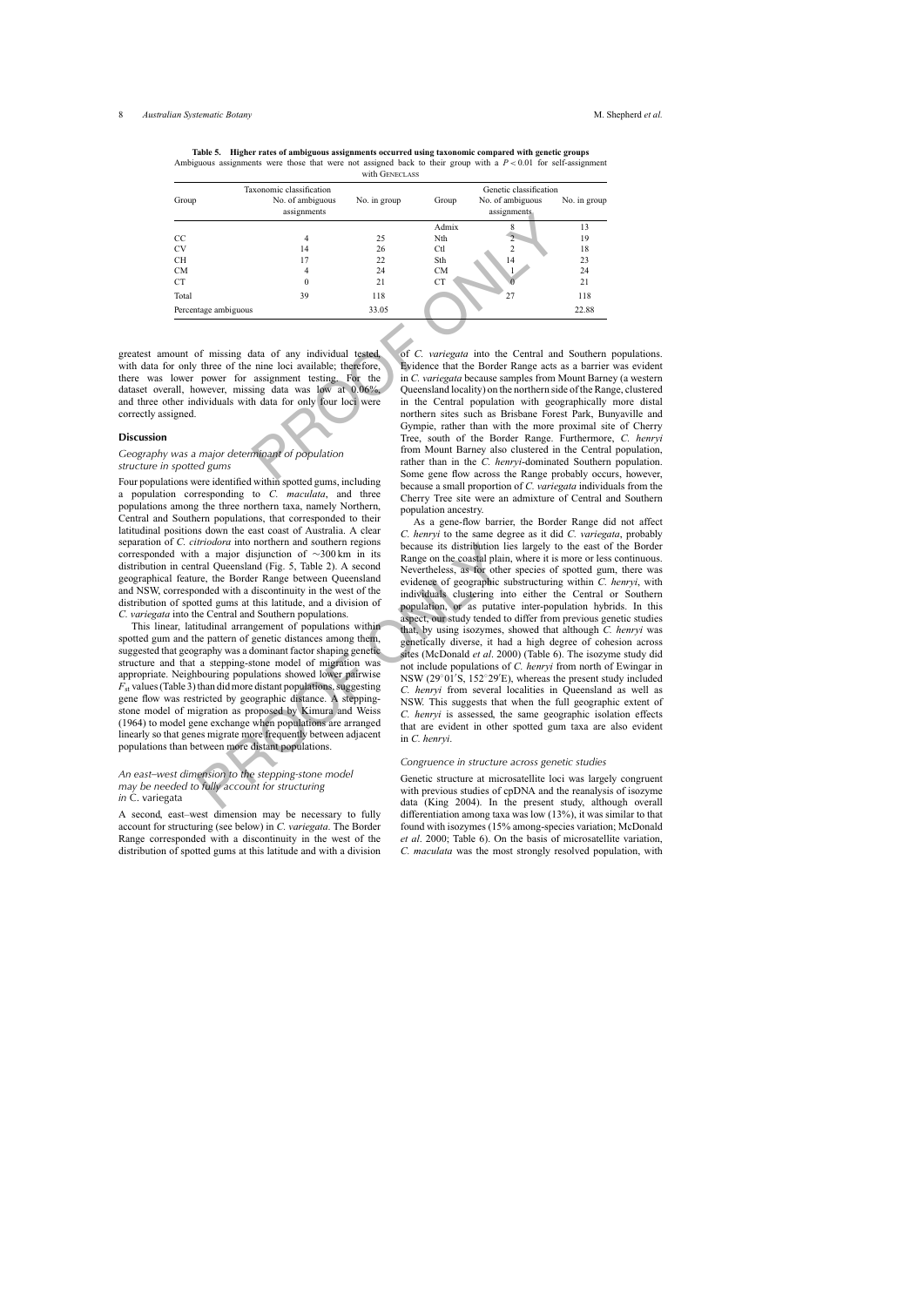|                                                                                                                                                                                                                                                                     | Taxonomic classification        |              | Genetic classification |                                                                                                                                                                                                                                                                                                                                                                  |              |  |  |
|---------------------------------------------------------------------------------------------------------------------------------------------------------------------------------------------------------------------------------------------------------------------|---------------------------------|--------------|------------------------|------------------------------------------------------------------------------------------------------------------------------------------------------------------------------------------------------------------------------------------------------------------------------------------------------------------------------------------------------------------|--------------|--|--|
| Group                                                                                                                                                                                                                                                               | No. of ambiguous<br>assignments | No. in group | Group                  | No. of ambiguous<br>assignments                                                                                                                                                                                                                                                                                                                                  | No. in group |  |  |
|                                                                                                                                                                                                                                                                     |                                 |              | Admix                  | 8                                                                                                                                                                                                                                                                                                                                                                | 13           |  |  |
| CC                                                                                                                                                                                                                                                                  | 4                               | 25           | Nth                    | $\overline{2}$                                                                                                                                                                                                                                                                                                                                                   | 19           |  |  |
| <b>CV</b>                                                                                                                                                                                                                                                           | 14                              | 26           | Ctl                    | $\overline{c}$                                                                                                                                                                                                                                                                                                                                                   | 18           |  |  |
| CH                                                                                                                                                                                                                                                                  | 17                              | 22           | Sth                    | 14                                                                                                                                                                                                                                                                                                                                                               | 23           |  |  |
| CM                                                                                                                                                                                                                                                                  | 4                               | 24           | CM                     |                                                                                                                                                                                                                                                                                                                                                                  | 24           |  |  |
| <b>CT</b>                                                                                                                                                                                                                                                           | 0                               | 21           | <b>CT</b>              |                                                                                                                                                                                                                                                                                                                                                                  | 21           |  |  |
| Total                                                                                                                                                                                                                                                               | 39                              | 118          |                        | 27                                                                                                                                                                                                                                                                                                                                                               | 118          |  |  |
| Percentage ambiguous                                                                                                                                                                                                                                                |                                 | 33.05        |                        |                                                                                                                                                                                                                                                                                                                                                                  | 22.88        |  |  |
| bunt of missing data of any individual tested,<br>r only three of the nine loci available; therefore,<br>lower power for assignment testing. For the<br>all, however, missing data was low at 0.06%,<br>her individuals with data for only four loci were<br>igned. |                                 |              |                        | of C. variegata into the Central and Southern<br>Evidence that the Border Range acts as a barrier<br>in C. variegata because samples from Mount Barr<br>Queensland locality) on the northern side of the Ra<br>in the Central population with geographically<br>northern sites such as Brisbane Forest Park, Br<br>Gympie, rather than with the more proximal si |              |  |  |
| was a major determinant of population<br>spotted gums                                                                                                                                                                                                               | .                               |              |                        | Tree, south of the Border Range. Furthermor<br>from Mount Barney also clustered in the Centra<br>rather than in the C. henryi-dominated Souther<br>Some gene flow across the Range probably occ                                                                                                                                                                  |              |  |  |

<span id="page-7-0"></span>**Table 5. Higher rates of ambiguous assignments occurred using taxonomic compared with genetic groups** Ambiguous assignments were those that were not assigned back to their group with a  $P < 0.01$  for self-assignment with GENECLASS

greatest amount of missing data of any individual tested, with data for only three of the nine loci available; therefore, there was lower power for assignment testing. For the dataset overall, however, missing data was low at 0.06%, and three other individuals with data for only four loci were correctly assigned.

### **Discussion**

### *Geography was a major determinant of population structure in spotted gums*

Four populations were identified within spotted gums, including a population corresponding to *C. maculata*, and three populations among the three northern taxa, namely Northern, Central and Southern populations, that corresponded to their latitudinal positions down the east coast of Australia. A clear separation of *C. citriodora* into northern and southern regions corresponded with a major disjunction of ∼300 km in its distribution in central Queensland (Fig. 5, Table 2). A second geographical feature, the Border Range between Queensland and NSW, corresponded with a discontinuity in the west of the distribution of spotted gums at this latitude, and a division of *C. variegata* into the Central and Southern populations.

*Trodora* into fortner an southern and weights and the strained and process and the strained (Fig. 5, Table 2). A second evidence of geographic ratio and Scale this lattice, and a division of example evidence of geographi This linear, latitudinal arrangement of populations within spotted gum and the pattern of genetic distances among them, suggested that geography was a dominant factor shaping genetic structure and that a stepping-stone model of migration was appropriate. Neighbouring populations showed lower pairwise  $F<sub>st</sub>$  values ([Table 3\) t](#page-6-0)han did more distant populations, suggesting gene flow was restricted by geographic distance. A steppingstone model of migration as proposed by Kimura and Weiss (1964) to model gene exchange when populations are arranged linearly so that genes migrate more frequently between adjacent populations than between more distant populations.

### *An east–west dimension to the stepping-stone model may be needed to fully account for structuring in* C. variegata

A second, east–west dimension may be necessary to fully account for structuring (see below) in *C. variegata*. The Border Range corresponded with a discontinuity in the west of the distribution of spotted gums at this latitude and with a division of *C. variegata* into the Central and Southern populations. Evidence that the Border Range acts as a barrier was evident in *C. variegata* because samples from Mount Barney (a western Queensland locality) on the northern side of the Range, clustered in the Central population with geographically more distal northern sites such as Brisbane Forest Park, Bunyaville and Gympie, rather than with the more proximal site of Cherry Tree, south of the Border Range. Furthermore, *C. henryi* from Mount Barney also clustered in the Central population, rather than in the *C. henryi*-dominated Southern population. Some gene flow across the Range probably occurs, however, because a small proportion of *C. variegata* individuals from the Cherry Tree site were an admixture of Central and Southern population ancestry.

As a gene-flow barrier, the Border Range did not affect *C. henryi* to the same degree as it did *C. variegata*, probably because its distribution lies largely to the east of the Border Range on the coastal plain, where it is more or less continuous. Nevertheless, as for other species of spotted gum, there was evidence of geographic substructuring within *C. henryi*, with individuals clustering into either the Central or Southern population, or as putative inter-population hybrids. In this aspect, our study tended to differ from previous genetic studies that, by using isozymes, showed that although *C. henryi* was genetically diverse, it had a high degree of cohesion across sites (McDonald *et al*. 2000) ([Table 6\).](#page-8-0) The isozyme study did not include populations of *C. henryi* from north of Ewingar in NSW  $(29°01'S, 152°29'E)$ , whereas the present study included *C. henryi* from several localities in Queensland as well as NSW. This suggests that when the full geographic extent of *C. henryi* is assessed, the same geographic isolation effects that are evident in other spotted gum taxa are also evident in *C. henryi*.

### *Congruence in structure across genetic studies*

Genetic structure at microsatellite loci was largely congruent with previous studies of cpDNA and the reanalysis of isozyme data (King 2004). In the present study, although overall differentiation among taxa was low (13%), it was similar to that found with isozymes (15% among-species variation; [McDonald](#page-9-0) *et al*. 2000; [Table 6\).](#page-8-0) On the basis of microsatellite variation, *C. maculata* was the most strongly resolved population, with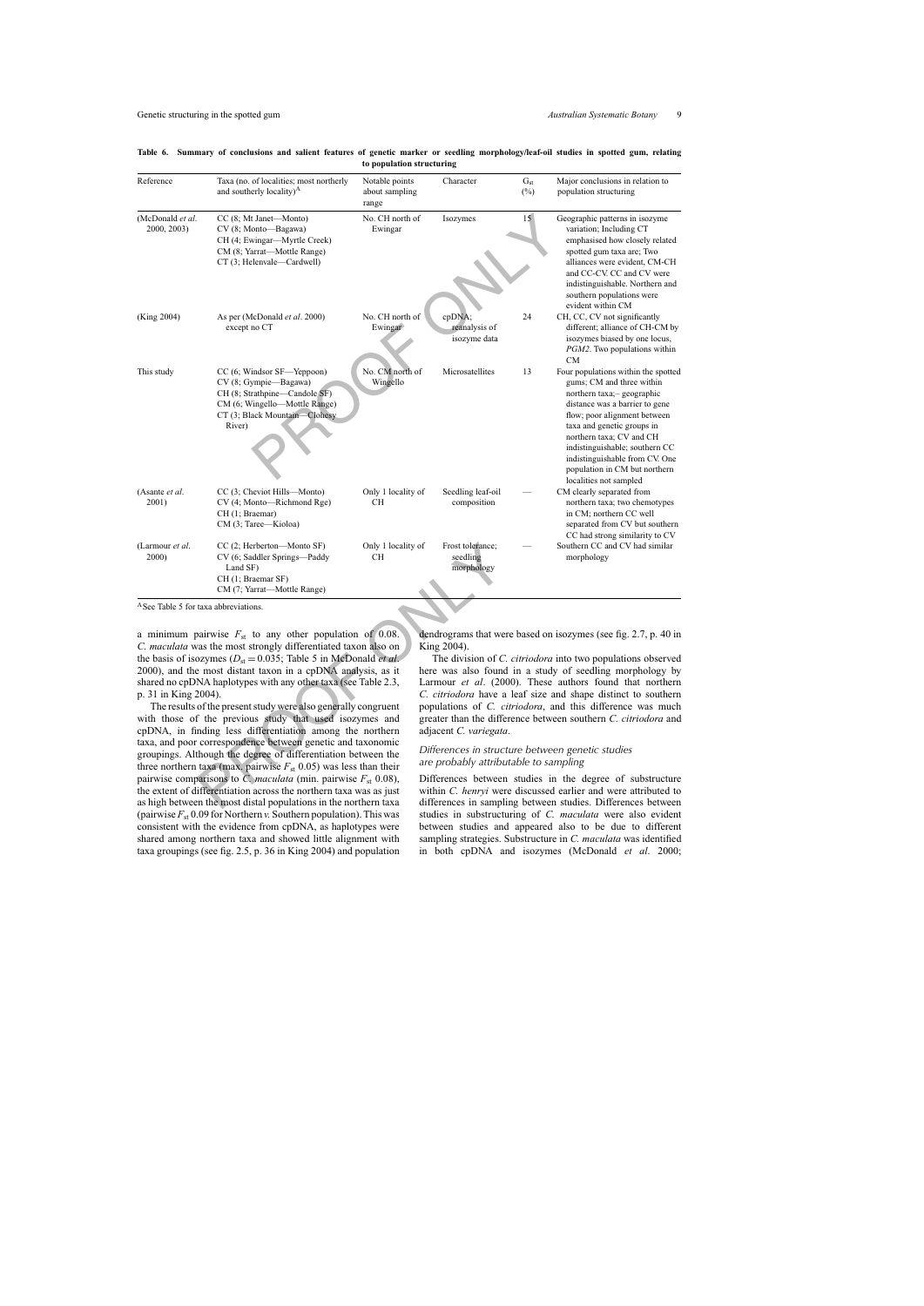| Reference                       | Taxa (no. of localities; most northerly<br>and southerly locality) <sup>A</sup>                                                                                  | Notable points<br>about sampling<br>range | Character                                  | $G_{st}$<br>(%) | Major conclusions in relation to<br>population structuring                                                                                                                                                                                                                                                                                                |
|---------------------------------|------------------------------------------------------------------------------------------------------------------------------------------------------------------|-------------------------------------------|--------------------------------------------|-----------------|-----------------------------------------------------------------------------------------------------------------------------------------------------------------------------------------------------------------------------------------------------------------------------------------------------------------------------------------------------------|
| (McDonald et al.<br>2000, 2003) | CC (8; Mt Janet—Monto)<br>CV (8; Monto-Bagawa)<br>CH (4; Ewingar—Myrtle Creek)<br>CM (8; Yarrat-Mottle Range)<br>CT (3; Helenvale—Cardwell)                      | No. CH north of<br>Ewingar                | Isozymes                                   | 15              | Geographic patterns in isozyme<br>variation; Including CT<br>emphasised how closely related<br>spotted gum taxa are; Two<br>alliances were evident, CM-CH<br>and CC-CV. CC and CV were<br>indistinguishable. Northern and<br>southern populations were<br>evident within CM                                                                               |
| (King 2004)                     | As per (McDonald et al. 2000)<br>except no CT                                                                                                                    | No. CH north of<br>Ewingar                | cpDNA;<br>reanalysis of<br>isozyme data    | 24              | CH, CC, CV not significantly<br>different; alliance of CH-CM by<br>isozymes biased by one locus,<br>$PGM2$ . Two populations within<br><b>CM</b>                                                                                                                                                                                                          |
| This study                      | CC (6; Windsor SF—Yeppoon)<br>CV (8; Gympie—Bagawa)<br>CH (8; Strathpine—Candole SF)<br>CM (6; Wingello-Mottle Range)<br>CT (3; Black Mountain-Clohesy<br>River) | No. CM north of<br>Wingello               | Microsatellites                            | 13              | Four populations within the spotted<br>gums; CM and three within<br>northern taxa;- geographic<br>distance was a barrier to gene<br>flow; poor alignment between<br>taxa and genetic groups in<br>northern taxa; CV and CH<br>indistinguishable; southern CC<br>indistinguishable from CV. One<br>population in CM but northern<br>localities not sampled |
| (Asante et al.<br>2001)         | CC (3; Cheviot Hills-Monto)<br>CV (4; Monto—Richmond Rge)<br>CH (1; Braemar)<br>CM (3; Taree-Kioloa)                                                             | Only 1 locality of<br><b>CH</b>           | Seedling leaf-oil<br>composition           |                 | CM clearly separated from<br>northern taxa; two chemotypes<br>in CM; northern CC well<br>separated from CV but southern<br>CC had strong similarity to CV                                                                                                                                                                                                 |
| (Larmour et al.<br>2000)        | CC (2; Herberton-Monto SF)<br>CV (6; Saddler Springs—Paddy<br>Land SF)<br>CH (1; Braemar SF)<br>CM (7; Yarrat-Mottle Range)                                      | Only 1 locality of<br>CН                  | Frost tolerance;<br>seedling<br>morphology |                 | Southern CC and CV had similar<br>morphology                                                                                                                                                                                                                                                                                                              |

### <span id="page-8-0"></span>**Table 6. Summary of conclusions and salient features of genetic marker or seedling morphology/leaf-oil studies in spotted gum, relating to population structuring**

ASee [Table 5 fo](#page-7-0)r taxa abbreviations.

a minimum pairwise  $F_{st}$  to any other population of 0.08. *C. maculata* was the most strongly differentiated taxon also on the basis of isozymes ( $D_{st} = 0.035$ ; Table 5 in McDonald *et al.* 2000), and the most distant taxon in a cpDNA analysis, as it shared no cpDNA haplotypes with any other taxa (see Table 2.3, p. 31 in [King 2004\).](#page-9-0)

CC (2; Herberton—Monto S[F](#page-9-0)) [O](#page-9-0)nly 1 locality of Frost tolerance;<br>
CV (6; Saddler Springs—Paddy CH seedling<br>
Land SF)<br>
Land SF)<br>
CM (7; Yarrat—Mottle Range)<br>
taxa abbreviations.<br>
Dairwise  $F_{st}$  to any other population of 0. The results of the present study were also generally congruent with those of the previous study that used isozymes and cpDNA, in finding less differentiation among the northern taxa, and poor correspondence between genetic and taxonomic groupings. Although the degree of differentiation between the three northern taxa (max. pairwise  $F_{\rm st}$  0.05) was less than their pairwise comparisons to *C. maculata* (min. pairwise  $F_{\text{st}}$  0.08), the extent of differentiation across the northern taxa was as just as high between the most distal populations in the northern taxa (pairwise *F*st 0.09 for Northern *v.* Southern population). This was consistent with the evidence from cpDNA, as haplotypes were shared among northern taxa and showed little alignment with taxa groupings (see fig. 2.5, p. 36 in [King 2004\) a](#page-9-0)nd population

dendrograms that were based on isozymes (see fig. 2.7, p. 40 in King 2004).

The division of *C. citriodora* into two populations observed here was also found in a study of seedling morphology by Larmour *et al*. (2000). These authors found that northern *C. citriodora* have a leaf size and shape distinct to southern populations of *C. citriodora*, and this difference was much greater than the difference between southern *C. citriodora* and adjacent *C. variegata*.

### *Differences in structure between genetic studies are probably attributable to sampling*

Differences between studies in the degree of substructure within *C. henryi* were discussed earlier and were attributed to differences in sampling between studies. Differences between studies in substructuring of *C. maculata* were also evident between studies and appeared also to be due to different sampling strategies. Substructure in *C. maculata* was identified in both cpDNA and isozymes ([McDonald](#page-9-0) *et al*. 2000;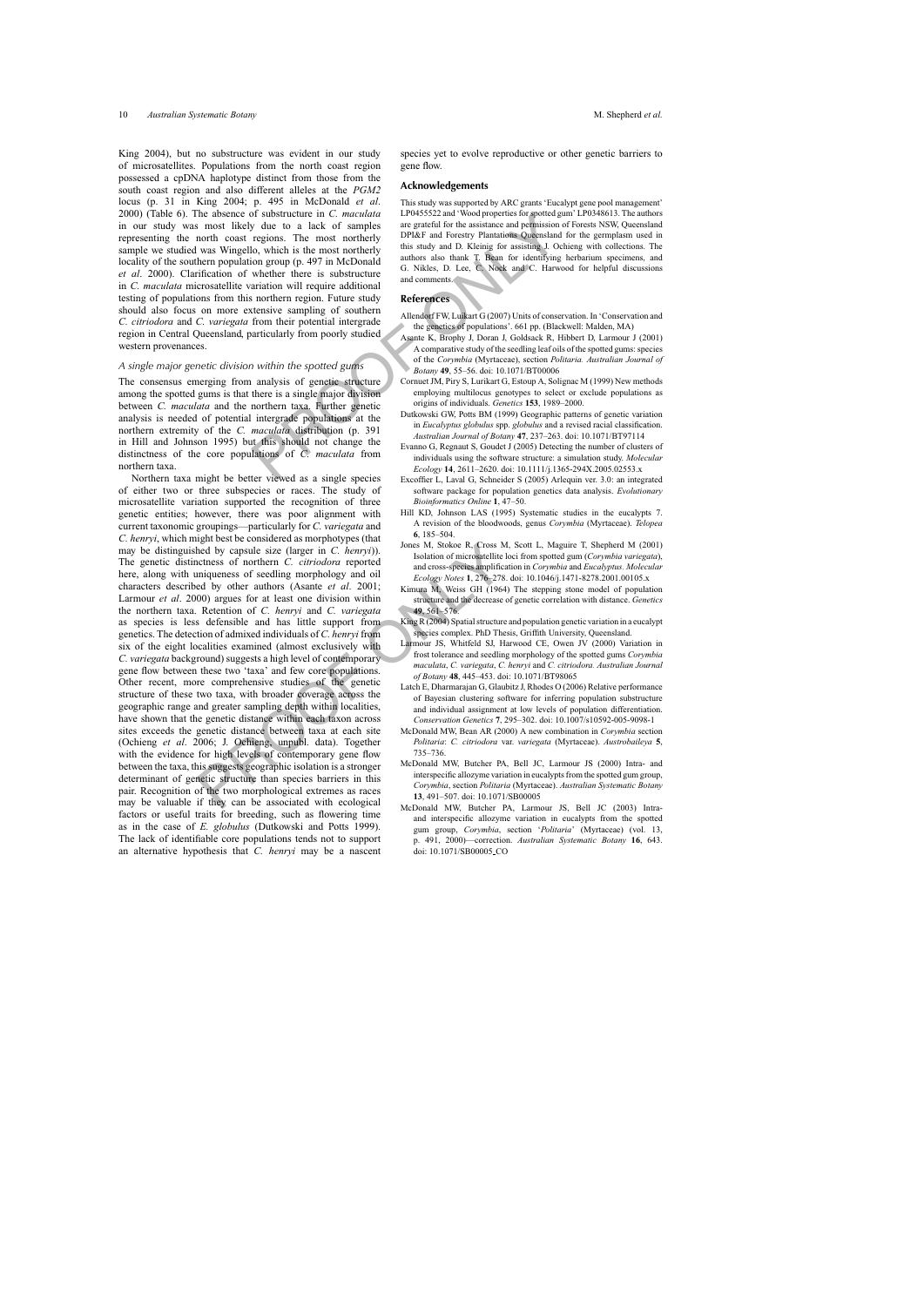<span id="page-9-0"></span>The substructure in C. maculata LP045522/21212 and Wood properties for spatial<br>regions. The most northerly are gradeful for the assistance and permission<br>regions. The most northerly this study and D. Kleing for assisting King 2004), but no substructure was evident in our study of microsatellites. Populations from the north coast region possessed a cpDNA haplotype distinct from those from the south coast region and also different alleles at the *PGM2* locus (p. 31 in King 2004; p. 495 in McDonald *et al*. 2000) ([Table 6\).](#page-8-0) The absence of substructure in *C. maculata* in our study was most likely due to a lack of samples representing the north coast regions. The most northerly sample we studied was Wingello, which is the most northerly locality of the southern population group (p. 497 in McDonald *et al*. 2000). Clarification of whether there is substructure in *C. maculata* microsatellite variation will require additional testing of populations from this northern region. Future study should also focus on more extensive sampling of southern *C. citriodora* and *C. variegata* from their potential intergrade region in Central Queensland, particularly from poorly studied western provenances.

### *A single major genetic division within the spotted gums*

The consensus emerging from analysis of genetic structure among the spotted gums is that there is a single major division between *C. maculata* and the northern taxa. Further genetic analysis is needed of potential intergrade populations at the northern extremity of the *C. maculata* distribution (p. 391 in Hill and Johnson 1995) but this should not change the distinctness of the core populations of *C. maculata* from northern taxa.

From SM, Stoke R, Cross M<br>
independent by capsule size (larger in C. henryi)).<br>
Iones M, Stoke R, Cross M<br>
induceness of northern C. citriodora reported<br>
and cross-species amplific<br>
dby other authors (Asante *et al.* 2001; Northern taxa might be better viewed as a single species of either two or three subspecies or races. The study of microsatellite variation supported the recognition of three genetic entities; however, there was poor alignment with current taxonomic groupings—particularly for *C. variegata* and *C. henryi*, which might best be considered as morphotypes (that may be distinguished by capsule size (larger in *C. henryi*)). The genetic distinctness of northern *C. citriodora* reported here, along with uniqueness of seedling morphology and oil characters described by other authors (Asante *et al*. 2001; Larmour *et al*. 2000) argues for at least one division within the northern taxa. Retention of *C. henryi* and *C. variegata* as species is less defensible and has little support from genetics. The detection of admixed individuals of *C. henryi* from six of the eight localities examined (almost exclusively with *C. variegata* background) suggests a high level of contemporary gene flow between these two 'taxa' and few core populations. Other recent, more comprehensive studies of the genetic structure of these two taxa, with broader coverage across the geographic range and greater sampling depth within localities, have shown that the genetic distance within each taxon across sites exceeds the genetic distance between taxa at each site [\(Ochieng](#page-10-0) *et al*. 2006; J. Ochieng, unpubl. data). Together with the evidence for high levels of contemporary gene flow between the taxa, this suggests geographic isolation is a stronger determinant of genetic structure than species barriers in this pair. Recognition of the two morphological extremes as races may be valuable if they can be associated with ecological factors or useful traits for breeding, such as flowering time as in the case of *E. globulus* (Dutkowski and Potts 1999). The lack of identifiable core populations tends not to support an alternative hypothesis that *C. henryi* may be a nascent

species yet to evolve reproductive or other genetic barriers to gene flow.

#### **Acknowledgements**

This study was supported by ARC grants 'Eucalypt gene pool management' LP0455522 and 'Wood properties for spotted gum' LP0348613. The authors are grateful for the assistance and permission of Forests NSW, Queensland DPI&F and Forestry Plantations Queensland for the germplasm used in this study and D. Kleinig for assisting J. Ochieng with collections. The authors also thank T. Bean for identifying herbarium specimens, and G. Nikles, D. Lee, C. Nock and C. Harwood for helpful discussions and comments.

### **References**

- Allendorf FW, Luikart G (2007) Units of conservation. In 'Conservation and the genetics of populations'. 661 pp. (Blackwell: Malden, MA)
- Asante K, Brophy J, Doran J, Goldsack R, Hibbert D, Larmour J (2001) A comparative study of the seedling leaf oils of the spotted gums: species of the *Corymbia* (Myrtaceae), section *Politaria. Australian Journal of Botany* **49**, 55–56. doi: 10.1071/BT00006
- Cornuet JM, Piry S, Lurikart G, Estoup A, Solignac M (1999) New methods employing multilocus genotypes to select or exclude populations as origins of individuals. *Genetics* **153**, 1989–2000.
- Dutkowski GW, Potts BM (1999) Geographic patterns of genetic variation in *Eucalyptus globulus* spp. *globulus* and a revised racial classification. *Australian Journal of Botany* **47**, 237–263. doi: 10.1071/BT97114
- Evanno G, Regnaut S, Goudet J (2005) Detecting the number of clusters of individuals using the software structure: a simulation study. *Molecular Ecology* **14**, 2611–2620. doi: 10.1111/j.1365-294X.2005.02553.x
- Excoffier L, Laval G, Schneider S (2005) Arlequin ver. 3.0: an integrated software package for population genetics data analysis. *Evolutionary Bioinformatics Online* **1**, 47–50.
- Hill KD, Johnson LAS (1995) Systematic studies in the eucalypts 7. A revision of the bloodwoods, genus *Corymbia* (Myrtaceae). *Telopea* **6**, 185–504.
- Jones M, Stokoe R, Cross M, Scott L, Maguire T, Shepherd M (2001) Isolation of microsatellite loci from spotted gum (*Corymbia variegata*), and cross-species amplification in *Corymbia* and *Eucalyptus. Molecular Ecology Notes* **1**, 276–278. doi: 10.1046/j.1471-8278.2001.00105.x
- Kimura M, Weiss GH (1964) The stepping stone model of population structure and the decrease of genetic correlation with distance. *Genetics* **49**, 561–576.
- King R (2004) Spatial structure and population genetic variation in a eucalypt species complex. PhD Thesis, Griffith University, Queensland.
- Larmour JS, Whitfeld SJ, Harwood CE, Owen JV (2000) Variation in frost tolerance and seedling morphology of the spotted gums *Corymbia maculata*, *C. variegata*, *C. henryi* and *C. citriodora. Australian Journal of Botany* **48**, 445–453. doi: 10.1071/BT98065
- Latch E, Dharmarajan G, Glaubitz J, Rhodes O (2006) Relative performance of Bayesian clustering software for inferring population substructure and individual assignment at low levels of population differentiation. *Conservation Genetics* **7**, 295–302. doi: 10.1007/s10592-005-9098-1
- McDonald MW, Bean AR (2000) A new combination in *Corymbia* section *Politaria*: *C. citriodora* var. *variegata* (Myrtaceae). *Austrobaileya* **5**, 735–736.
- McDonald MW, Butcher PA, Bell JC, Larmour JS (2000) Intra- and interspecific allozyme variation in eucalypts from the spotted gum group, *Corymbia*, section *Politaria* (Myrtaceae). *Australian Systematic Botany* **13**, 491–507. doi: 10.1071/SB00005
- McDonald MW, Butcher PA, Larmour JS, Bell JC (2003) Intraand interspecific allozyme variation in eucalypts from the spotted gum group, *Corymbia*, section '*Politaria*' (Myrtaceae) (vol. 13, p. 491, 2000)—correction. *Australian Systematic Botany* **16**, 643. doi: 10.1071/SB00005 CO